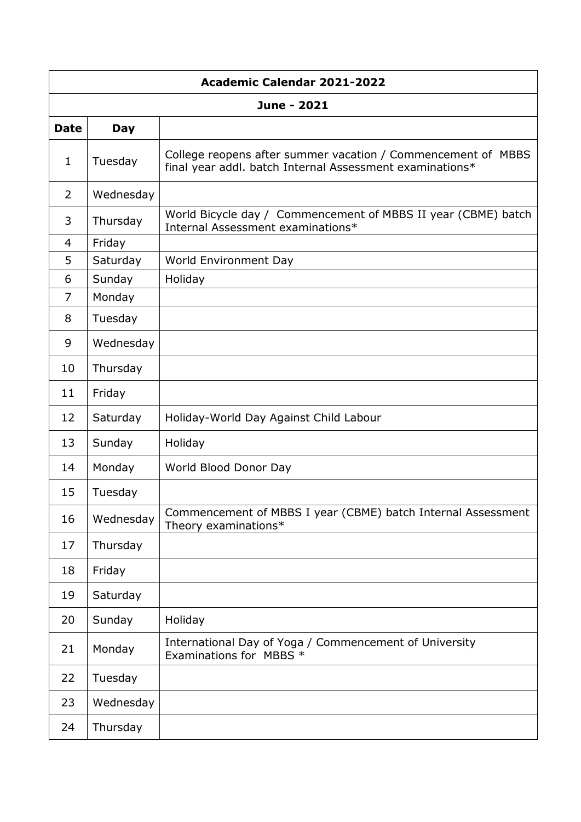|                | <b>Academic Calendar 2021-2022</b> |                                                                                                                          |  |
|----------------|------------------------------------|--------------------------------------------------------------------------------------------------------------------------|--|
| June - 2021    |                                    |                                                                                                                          |  |
| <b>Date</b>    | <b>Day</b>                         |                                                                                                                          |  |
| $\mathbf{1}$   | Tuesday                            | College reopens after summer vacation / Commencement of MBBS<br>final year addl. batch Internal Assessment examinations* |  |
| $\overline{2}$ | Wednesday                          |                                                                                                                          |  |
| 3              | Thursday                           | World Bicycle day / Commencement of MBBS II year (CBME) batch<br>Internal Assessment examinations*                       |  |
| $\overline{4}$ | Friday                             |                                                                                                                          |  |
| 5              | Saturday                           | World Environment Day                                                                                                    |  |
| 6              | Sunday                             | Holiday                                                                                                                  |  |
| $\overline{7}$ | Monday                             |                                                                                                                          |  |
| 8              | Tuesday                            |                                                                                                                          |  |
| 9              | Wednesday                          |                                                                                                                          |  |
| 10             | Thursday                           |                                                                                                                          |  |
| 11             | Friday                             |                                                                                                                          |  |
| 12             | Saturday                           | Holiday-World Day Against Child Labour                                                                                   |  |
| 13             | Sunday                             | Holiday                                                                                                                  |  |
| 14             | Monday                             | World Blood Donor Day                                                                                                    |  |
| 15             | Tuesday                            |                                                                                                                          |  |
| 16             | Wednesday                          | Commencement of MBBS I year (CBME) batch Internal Assessment<br>Theory examinations*                                     |  |
| 17             | Thursday                           |                                                                                                                          |  |
| 18             | Friday                             |                                                                                                                          |  |
| 19             | Saturday                           |                                                                                                                          |  |
| 20             | Sunday                             | Holiday                                                                                                                  |  |
| 21             | Monday                             | International Day of Yoga / Commencement of University<br>Examinations for MBBS *                                        |  |
| 22             | Tuesday                            |                                                                                                                          |  |
| 23             | Wednesday                          |                                                                                                                          |  |
| 24             | Thursday                           |                                                                                                                          |  |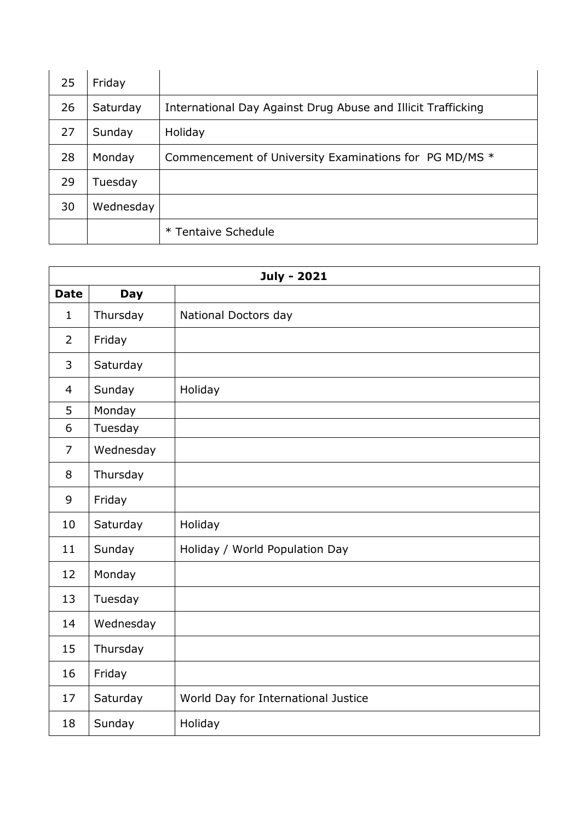| 25 | Friday    |                                                              |
|----|-----------|--------------------------------------------------------------|
| 26 | Saturday  | International Day Against Drug Abuse and Illicit Trafficking |
| 27 | Sunday    | Holiday                                                      |
| 28 | Monday    | Commencement of University Examinations for PG MD/MS *       |
| 29 | Tuesday   |                                                              |
| 30 | Wednesday |                                                              |
|    |           | * Tentaive Schedule                                          |

| <b>July - 2021</b> |            |                                     |
|--------------------|------------|-------------------------------------|
| <b>Date</b>        | <b>Day</b> |                                     |
| $\mathbf{1}$       | Thursday   | National Doctors day                |
| 2                  | Friday     |                                     |
| 3                  | Saturday   |                                     |
| $\overline{4}$     | Sunday     | Holiday                             |
| 5                  | Monday     |                                     |
| 6                  | Tuesday    |                                     |
| $\overline{7}$     | Wednesday  |                                     |
| 8                  | Thursday   |                                     |
| 9                  | Friday     |                                     |
| 10                 | Saturday   | Holiday                             |
| 11                 | Sunday     | Holiday / World Population Day      |
| 12                 | Monday     |                                     |
| 13                 | Tuesday    |                                     |
| 14                 | Wednesday  |                                     |
| 15                 | Thursday   |                                     |
| 16                 | Friday     |                                     |
| 17                 | Saturday   | World Day for International Justice |
| 18                 | Sunday     | Holiday                             |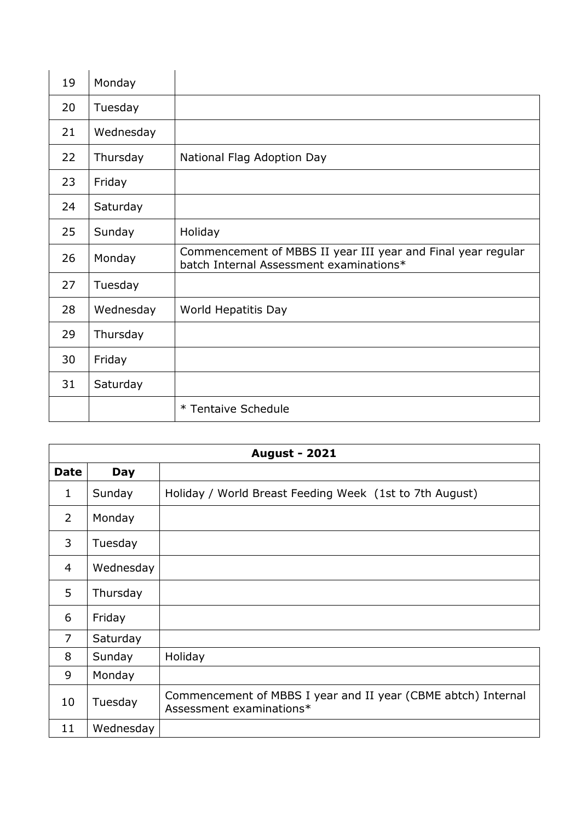| 19 | Monday    |                                                                                                         |
|----|-----------|---------------------------------------------------------------------------------------------------------|
| 20 | Tuesday   |                                                                                                         |
| 21 | Wednesday |                                                                                                         |
| 22 | Thursday  | National Flag Adoption Day                                                                              |
| 23 | Friday    |                                                                                                         |
| 24 | Saturday  |                                                                                                         |
| 25 | Sunday    | Holiday                                                                                                 |
| 26 | Monday    | Commencement of MBBS II year III year and Final year regular<br>batch Internal Assessment examinations* |
| 27 | Tuesday   |                                                                                                         |
| 28 | Wednesday | World Hepatitis Day                                                                                     |
| 29 | Thursday  |                                                                                                         |
| 30 | Friday    |                                                                                                         |
| 31 | Saturday  |                                                                                                         |
|    |           | * Tentaive Schedule                                                                                     |

| <b>August - 2021</b> |            |                                                                                           |
|----------------------|------------|-------------------------------------------------------------------------------------------|
| Date                 | <b>Day</b> |                                                                                           |
| $\mathbf{1}$         | Sunday     | Holiday / World Breast Feeding Week (1st to 7th August)                                   |
| $\overline{2}$       | Monday     |                                                                                           |
| 3                    | Tuesday    |                                                                                           |
| 4                    | Wednesday  |                                                                                           |
| 5                    | Thursday   |                                                                                           |
| 6                    | Friday     |                                                                                           |
| $\overline{7}$       | Saturday   |                                                                                           |
| 8                    | Sunday     | Holiday                                                                                   |
| 9                    | Monday     |                                                                                           |
| 10                   | Tuesday    | Commencement of MBBS I year and II year (CBME abtch) Internal<br>Assessment examinations* |
| 11                   | Wednesday  |                                                                                           |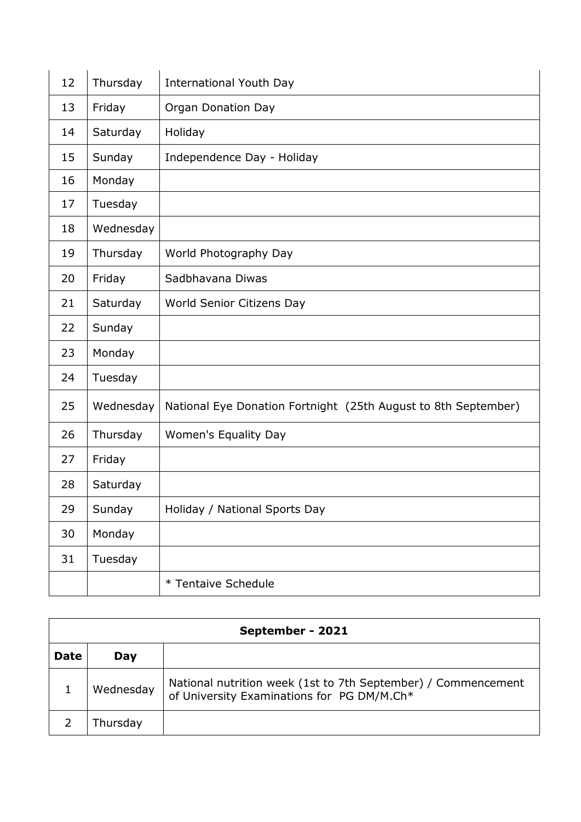| 12 | Thursday  | <b>International Youth Day</b>                                 |
|----|-----------|----------------------------------------------------------------|
| 13 | Friday    | <b>Organ Donation Day</b>                                      |
| 14 | Saturday  | Holiday                                                        |
| 15 | Sunday    | Independence Day - Holiday                                     |
| 16 | Monday    |                                                                |
| 17 | Tuesday   |                                                                |
| 18 | Wednesday |                                                                |
| 19 | Thursday  | World Photography Day                                          |
| 20 | Friday    | Sadbhavana Diwas                                               |
| 21 | Saturday  | World Senior Citizens Day                                      |
| 22 | Sunday    |                                                                |
| 23 | Monday    |                                                                |
| 24 | Tuesday   |                                                                |
| 25 | Wednesday | National Eye Donation Fortnight (25th August to 8th September) |
| 26 | Thursday  | Women's Equality Day                                           |
| 27 | Friday    |                                                                |
| 28 | Saturday  |                                                                |
| 29 | Sunday    | Holiday / National Sports Day                                  |
| 30 | Monday    |                                                                |
| 31 | Tuesday   |                                                                |
|    |           | * Tentaive Schedule                                            |

| September - 2021 |           |                                                                                                             |
|------------------|-----------|-------------------------------------------------------------------------------------------------------------|
| <b>Date</b>      | Day       |                                                                                                             |
|                  | Wednesday | National nutrition week (1st to 7th September) / Commencement<br>of University Examinations for PG DM/M.Ch* |
|                  | Thursday  |                                                                                                             |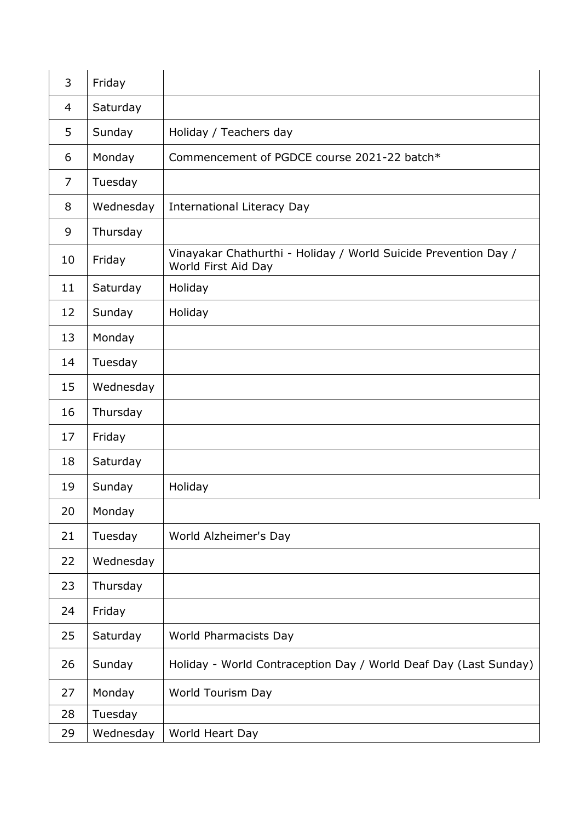| 3              | Friday    |                                                                                        |
|----------------|-----------|----------------------------------------------------------------------------------------|
| $\overline{4}$ | Saturday  |                                                                                        |
| 5              | Sunday    | Holiday / Teachers day                                                                 |
| 6              | Monday    | Commencement of PGDCE course 2021-22 batch*                                            |
| $\overline{7}$ | Tuesday   |                                                                                        |
| 8              | Wednesday | <b>International Literacy Day</b>                                                      |
| 9              | Thursday  |                                                                                        |
| 10             | Friday    | Vinayakar Chathurthi - Holiday / World Suicide Prevention Day /<br>World First Aid Day |
| 11             | Saturday  | Holiday                                                                                |
| 12             | Sunday    | Holiday                                                                                |
| 13             | Monday    |                                                                                        |
| 14             | Tuesday   |                                                                                        |
| 15             | Wednesday |                                                                                        |
| 16             | Thursday  |                                                                                        |
| 17             | Friday    |                                                                                        |
| 18             | Saturday  |                                                                                        |
| 19             | Sunday    | Holiday                                                                                |
| 20             | Monday    |                                                                                        |
| 21             | Tuesday   | World Alzheimer's Day                                                                  |
| 22             | Wednesday |                                                                                        |
| 23             | Thursday  |                                                                                        |
| 24             | Friday    |                                                                                        |
| 25             | Saturday  | World Pharmacists Day                                                                  |
| 26             | Sunday    | Holiday - World Contraception Day / World Deaf Day (Last Sunday)                       |
| 27             | Monday    | World Tourism Day                                                                      |
| 28             | Tuesday   |                                                                                        |
| 29             | Wednesday | World Heart Day                                                                        |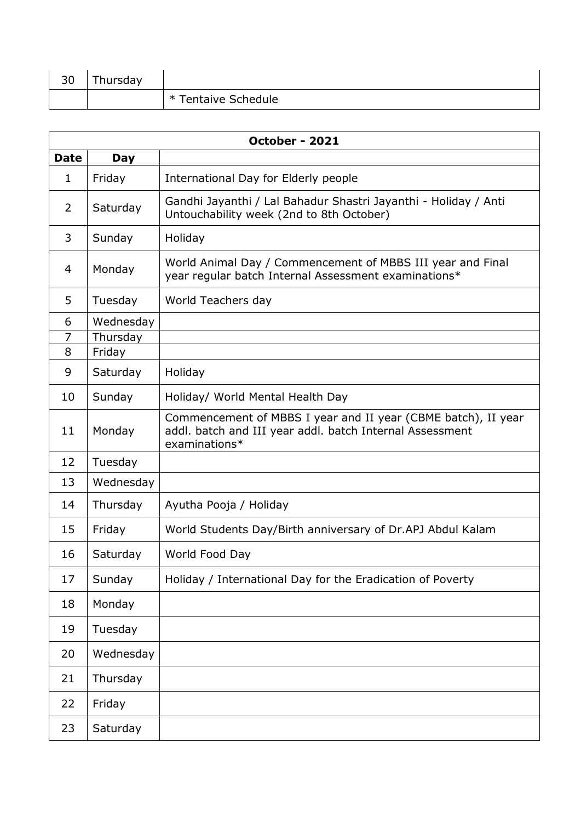| 30 | Thursday |                     |
|----|----------|---------------------|
|    |          | * Tentaive Schedule |

|                | October - 2021 |                                                                                                                                            |  |
|----------------|----------------|--------------------------------------------------------------------------------------------------------------------------------------------|--|
| <b>Date</b>    | Day            |                                                                                                                                            |  |
| $\mathbf 1$    | Friday         | International Day for Elderly people                                                                                                       |  |
| $\overline{2}$ | Saturday       | Gandhi Jayanthi / Lal Bahadur Shastri Jayanthi - Holiday / Anti<br>Untouchability week (2nd to 8th October)                                |  |
| 3              | Sunday         | Holiday                                                                                                                                    |  |
| 4              | Monday         | World Animal Day / Commencement of MBBS III year and Final<br>year regular batch Internal Assessment examinations*                         |  |
| 5              | Tuesday        | World Teachers day                                                                                                                         |  |
| 6              | Wednesday      |                                                                                                                                            |  |
| 7              | Thursday       |                                                                                                                                            |  |
| 8              | Friday         |                                                                                                                                            |  |
| 9              | Saturday       | Holiday                                                                                                                                    |  |
| 10             | Sunday         | Holiday/ World Mental Health Day                                                                                                           |  |
| 11             | Monday         | Commencement of MBBS I year and II year (CBME batch), II year<br>addl. batch and III year addl. batch Internal Assessment<br>examinations* |  |
| 12             | Tuesday        |                                                                                                                                            |  |
| 13             | Wednesday      |                                                                                                                                            |  |
| 14             | Thursday       | Ayutha Pooja / Holiday                                                                                                                     |  |
| 15             | Friday         | World Students Day/Birth anniversary of Dr.APJ Abdul Kalam                                                                                 |  |
| 16             | Saturday       | World Food Day                                                                                                                             |  |
| 17             | Sunday         | Holiday / International Day for the Eradication of Poverty                                                                                 |  |
| 18             | Monday         |                                                                                                                                            |  |
| 19             | Tuesday        |                                                                                                                                            |  |
| 20             | Wednesday      |                                                                                                                                            |  |
| 21             | Thursday       |                                                                                                                                            |  |
| 22             | Friday         |                                                                                                                                            |  |
| 23             | Saturday       |                                                                                                                                            |  |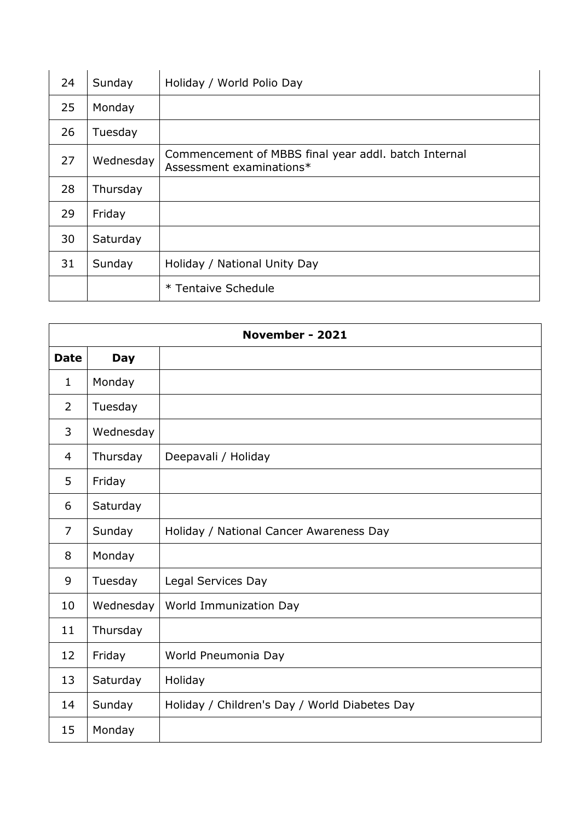| 24 | Sunday    | Holiday / World Polio Day                                                        |
|----|-----------|----------------------------------------------------------------------------------|
| 25 | Monday    |                                                                                  |
| 26 | Tuesday   |                                                                                  |
| 27 | Wednesday | Commencement of MBBS final year addl. batch Internal<br>Assessment examinations* |
| 28 | Thursday  |                                                                                  |
| 29 | Friday    |                                                                                  |
| 30 | Saturday  |                                                                                  |
| 31 | Sunday    | Holiday / National Unity Day                                                     |
|    |           | * Tentaive Schedule                                                              |

| November - 2021 |            |                                               |
|-----------------|------------|-----------------------------------------------|
| <b>Date</b>     | <b>Day</b> |                                               |
| $\mathbf{1}$    | Monday     |                                               |
| $\overline{2}$  | Tuesday    |                                               |
| 3               | Wednesday  |                                               |
| $\overline{4}$  | Thursday   | Deepavali / Holiday                           |
| 5               | Friday     |                                               |
| 6               | Saturday   |                                               |
| $\overline{7}$  | Sunday     | Holiday / National Cancer Awareness Day       |
| 8               | Monday     |                                               |
| 9               | Tuesday    | Legal Services Day                            |
| 10              | Wednesday  | World Immunization Day                        |
| 11              | Thursday   |                                               |
| 12 <sup>2</sup> | Friday     | World Pneumonia Day                           |
| 13              | Saturday   | Holiday                                       |
| 14              | Sunday     | Holiday / Children's Day / World Diabetes Day |
| 15              | Monday     |                                               |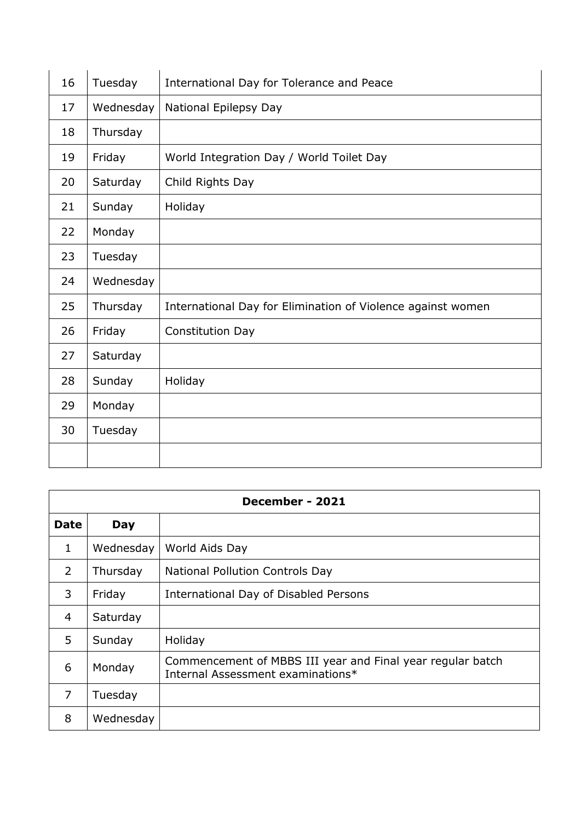| 16 | Tuesday   | International Day for Tolerance and Peace                   |
|----|-----------|-------------------------------------------------------------|
| 17 | Wednesday | National Epilepsy Day                                       |
| 18 | Thursday  |                                                             |
| 19 | Friday    | World Integration Day / World Toilet Day                    |
| 20 | Saturday  | Child Rights Day                                            |
| 21 | Sunday    | Holiday                                                     |
| 22 | Monday    |                                                             |
| 23 | Tuesday   |                                                             |
| 24 | Wednesday |                                                             |
| 25 | Thursday  | International Day for Elimination of Violence against women |
| 26 | Friday    | Constitution Day                                            |
| 27 | Saturday  |                                                             |
| 28 | Sunday    | Holiday                                                     |
| 29 | Monday    |                                                             |
| 30 | Tuesday   |                                                             |
|    |           |                                                             |

| December - 2021 |           |                                                                                                 |
|-----------------|-----------|-------------------------------------------------------------------------------------------------|
| <b>Date</b>     | Day       |                                                                                                 |
| $\mathbf{1}$    | Wednesday | World Aids Day                                                                                  |
| $\overline{2}$  | Thursday  | <b>National Pollution Controls Day</b>                                                          |
| 3               | Friday    | International Day of Disabled Persons                                                           |
| 4               | Saturday  |                                                                                                 |
| 5               | Sunday    | Holiday                                                                                         |
| 6               | Monday    | Commencement of MBBS III year and Final year regular batch<br>Internal Assessment examinations* |
| 7               | Tuesday   |                                                                                                 |
| 8               | Wednesday |                                                                                                 |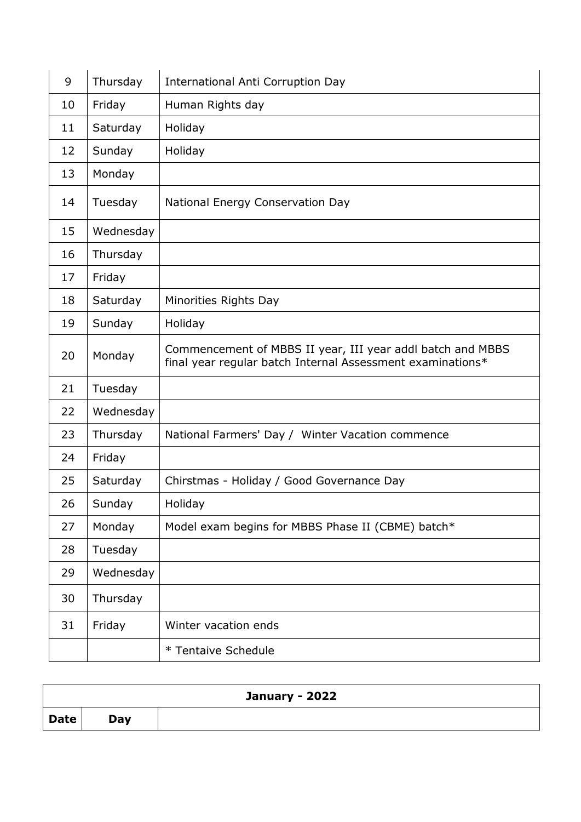| 9  | Thursday  | International Anti Corruption Day                                                                                        |
|----|-----------|--------------------------------------------------------------------------------------------------------------------------|
| 10 | Friday    | Human Rights day                                                                                                         |
| 11 | Saturday  | Holiday                                                                                                                  |
| 12 | Sunday    | Holiday                                                                                                                  |
| 13 | Monday    |                                                                                                                          |
| 14 | Tuesday   | National Energy Conservation Day                                                                                         |
| 15 | Wednesday |                                                                                                                          |
| 16 | Thursday  |                                                                                                                          |
| 17 | Friday    |                                                                                                                          |
| 18 | Saturday  | Minorities Rights Day                                                                                                    |
| 19 | Sunday    | Holiday                                                                                                                  |
| 20 | Monday    | Commencement of MBBS II year, III year addl batch and MBBS<br>final year regular batch Internal Assessment examinations* |
| 21 | Tuesday   |                                                                                                                          |
| 22 | Wednesday |                                                                                                                          |
| 23 | Thursday  | National Farmers' Day / Winter Vacation commence                                                                         |
| 24 | Friday    |                                                                                                                          |
| 25 | Saturday  | Chirstmas - Holiday / Good Governance Day                                                                                |
| 26 | Sunday    | Holiday                                                                                                                  |
| 27 | Monday    | Model exam begins for MBBS Phase II (CBME) batch*                                                                        |
| 28 | Tuesday   |                                                                                                                          |
| 29 | Wednesday |                                                                                                                          |
| 30 | Thursday  |                                                                                                                          |
| 31 | Friday    | Winter vacation ends                                                                                                     |
|    |           | * Tentaive Schedule                                                                                                      |

| January - 2022 |     |  |  |
|----------------|-----|--|--|
| <b>Date</b>    | Day |  |  |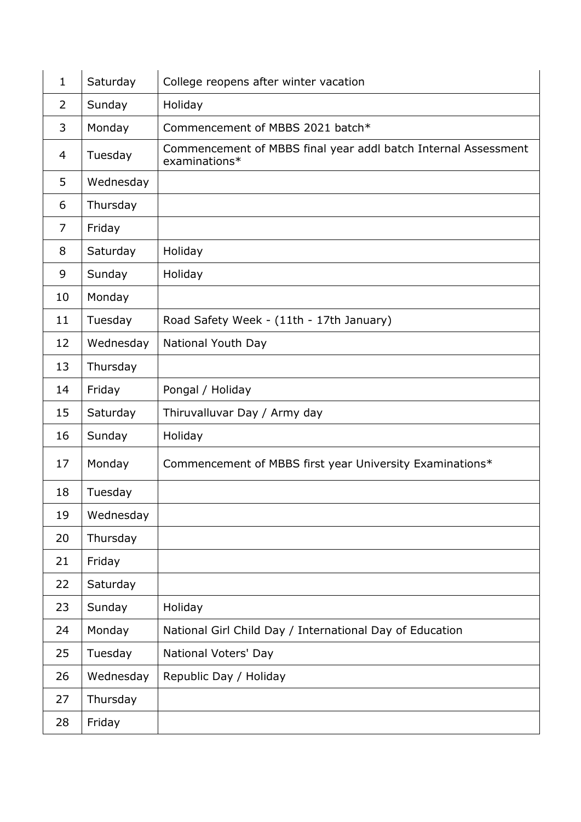| $\mathbf{1}$   | Saturday  | College reopens after winter vacation                                           |
|----------------|-----------|---------------------------------------------------------------------------------|
| $\overline{2}$ | Sunday    | Holiday                                                                         |
| 3              | Monday    | Commencement of MBBS 2021 batch*                                                |
| 4              | Tuesday   | Commencement of MBBS final year addl batch Internal Assessment<br>examinations* |
| 5              | Wednesday |                                                                                 |
| 6              | Thursday  |                                                                                 |
| 7              | Friday    |                                                                                 |
| 8              | Saturday  | Holiday                                                                         |
| 9              | Sunday    | Holiday                                                                         |
| 10             | Monday    |                                                                                 |
| 11             | Tuesday   | Road Safety Week - (11th - 17th January)                                        |
| 12             | Wednesday | National Youth Day                                                              |
| 13             | Thursday  |                                                                                 |
| 14             | Friday    | Pongal / Holiday                                                                |
| 15             | Saturday  | Thiruvalluvar Day / Army day                                                    |
| 16             | Sunday    | Holiday                                                                         |
| 17             | Monday    | Commencement of MBBS first year University Examinations*                        |
| 18             | Tuesday   |                                                                                 |
| 19             | Wednesday |                                                                                 |
| 20             | Thursday  |                                                                                 |
| 21             | Friday    |                                                                                 |
| 22             | Saturday  |                                                                                 |
| 23             | Sunday    | Holiday                                                                         |
| 24             | Monday    | National Girl Child Day / International Day of Education                        |
| 25             | Tuesday   | National Voters' Day                                                            |
| 26             | Wednesday | Republic Day / Holiday                                                          |
| 27             | Thursday  |                                                                                 |
| 28             | Friday    |                                                                                 |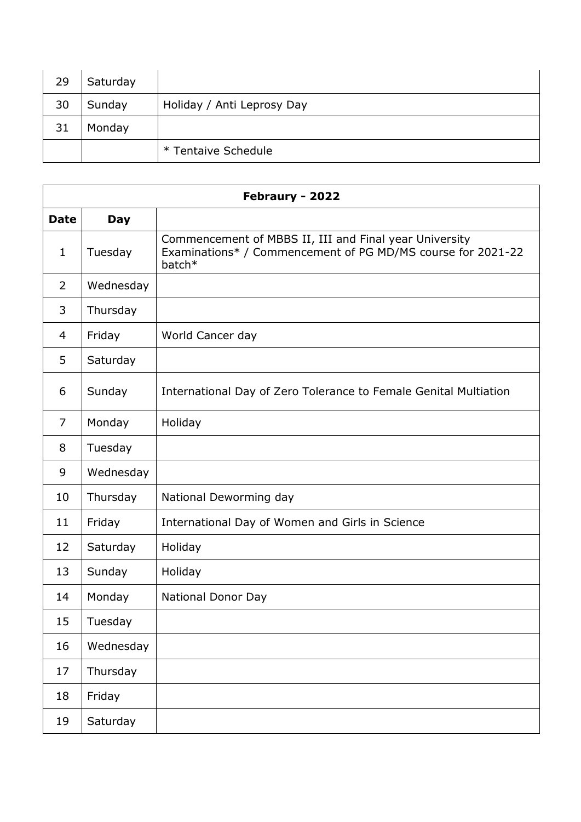| 29 | Saturday |                            |
|----|----------|----------------------------|
| 30 | Sunday   | Holiday / Anti Leprosy Day |
| 31 | Monday   |                            |
|    |          | * Tentaive Schedule        |

|                | Febraury - 2022 |                                                                                                                                 |  |
|----------------|-----------------|---------------------------------------------------------------------------------------------------------------------------------|--|
| <b>Date</b>    | <b>Day</b>      |                                                                                                                                 |  |
| $\mathbf{1}$   | Tuesday         | Commencement of MBBS II, III and Final year University<br>Examinations* / Commencement of PG MD/MS course for 2021-22<br>batch* |  |
| 2              | Wednesday       |                                                                                                                                 |  |
| 3              | Thursday        |                                                                                                                                 |  |
| 4              | Friday          | World Cancer day                                                                                                                |  |
| 5              | Saturday        |                                                                                                                                 |  |
| 6              | Sunday          | International Day of Zero Tolerance to Female Genital Multiation                                                                |  |
| $\overline{7}$ | Monday          | Holiday                                                                                                                         |  |
| 8              | Tuesday         |                                                                                                                                 |  |
| 9              | Wednesday       |                                                                                                                                 |  |
| 10             | Thursday        | National Deworming day                                                                                                          |  |
| 11             | Friday          | International Day of Women and Girls in Science                                                                                 |  |
| 12             | Saturday        | Holiday                                                                                                                         |  |
| 13             | Sunday          | Holiday                                                                                                                         |  |
| 14             | Monday          | National Donor Day                                                                                                              |  |
| 15             | Tuesday         |                                                                                                                                 |  |
| 16             | Wednesday       |                                                                                                                                 |  |
| 17             | Thursday        |                                                                                                                                 |  |
| 18             | Friday          |                                                                                                                                 |  |
| 19             | Saturday        |                                                                                                                                 |  |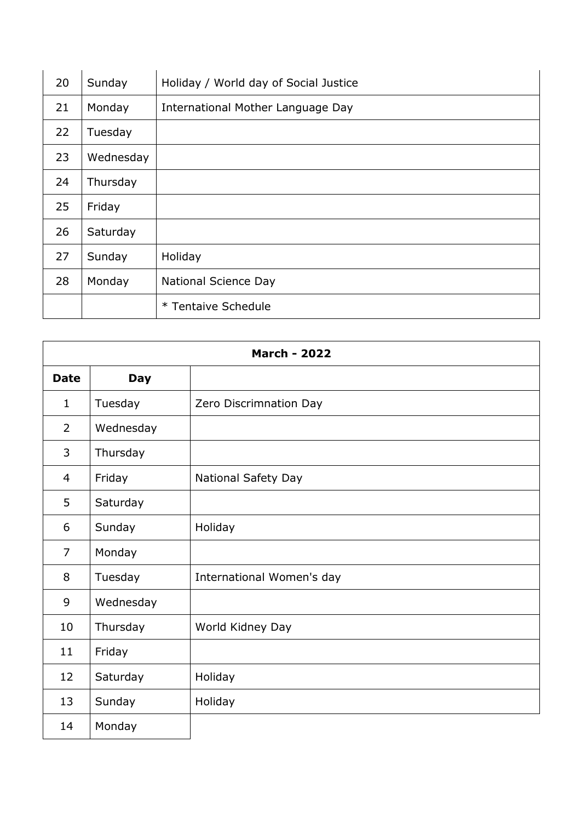| 20 | Sunday    | Holiday / World day of Social Justice |
|----|-----------|---------------------------------------|
| 21 | Monday    | International Mother Language Day     |
| 22 | Tuesday   |                                       |
| 23 | Wednesday |                                       |
| 24 | Thursday  |                                       |
| 25 | Friday    |                                       |
| 26 | Saturday  |                                       |
| 27 | Sunday    | Holiday                               |
| 28 | Monday    | National Science Day                  |
|    |           | * Tentaive Schedule                   |

| <b>March - 2022</b> |            |                           |
|---------------------|------------|---------------------------|
| <b>Date</b>         | <b>Day</b> |                           |
| $\mathbf{1}$        | Tuesday    | Zero Discrimnation Day    |
| 2                   | Wednesday  |                           |
| 3                   | Thursday   |                           |
| $\overline{4}$      | Friday     | National Safety Day       |
| 5                   | Saturday   |                           |
| 6                   | Sunday     | Holiday                   |
| $\overline{7}$      | Monday     |                           |
| 8                   | Tuesday    | International Women's day |
| 9                   | Wednesday  |                           |
| 10                  | Thursday   | World Kidney Day          |
| 11                  | Friday     |                           |
| 12                  | Saturday   | Holiday                   |
| 13                  | Sunday     | Holiday                   |
| 14                  | Monday     |                           |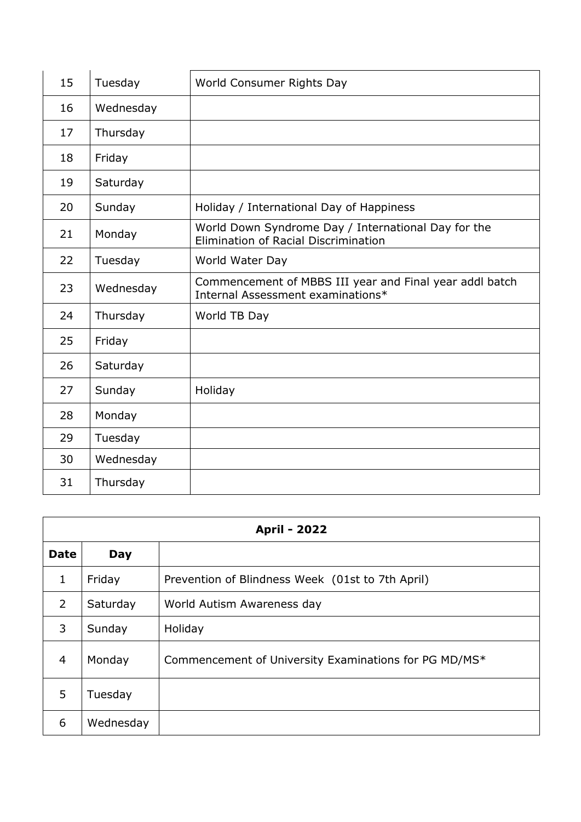| 15 | Tuesday   | World Consumer Rights Day                                                                    |
|----|-----------|----------------------------------------------------------------------------------------------|
| 16 | Wednesday |                                                                                              |
| 17 | Thursday  |                                                                                              |
| 18 | Friday    |                                                                                              |
| 19 | Saturday  |                                                                                              |
| 20 | Sunday    | Holiday / International Day of Happiness                                                     |
| 21 | Monday    | World Down Syndrome Day / International Day for the<br>Elimination of Racial Discrimination  |
| 22 | Tuesday   | World Water Day                                                                              |
| 23 | Wednesday | Commencement of MBBS III year and Final year addl batch<br>Internal Assessment examinations* |
| 24 | Thursday  | World TB Day                                                                                 |
| 25 | Friday    |                                                                                              |
| 26 | Saturday  |                                                                                              |
| 27 | Sunday    | Holiday                                                                                      |
| 28 | Monday    |                                                                                              |
| 29 | Tuesday   |                                                                                              |
| 30 | Wednesday |                                                                                              |
| 31 | Thursday  |                                                                                              |

| <b>April - 2022</b> |           |                                                       |
|---------------------|-----------|-------------------------------------------------------|
| <b>Date</b>         | Day       |                                                       |
| $\mathbf{1}$        | Friday    | Prevention of Blindness Week (01st to 7th April)      |
| $\overline{2}$      | Saturday  | World Autism Awareness day                            |
| 3                   | Sunday    | Holiday                                               |
| 4                   | Monday    | Commencement of University Examinations for PG MD/MS* |
| 5                   | Tuesday   |                                                       |
| 6                   | Wednesday |                                                       |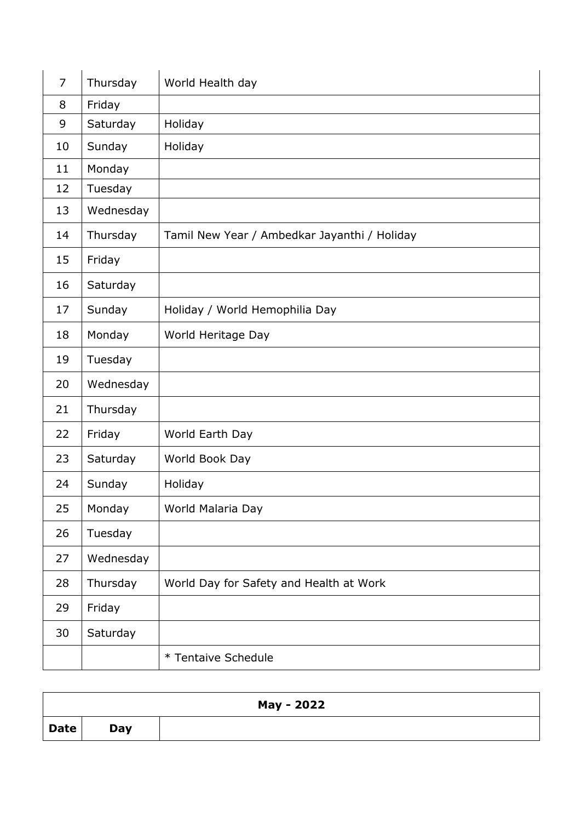| $\overline{7}$ | Thursday  | World Health day                             |
|----------------|-----------|----------------------------------------------|
| 8              | Friday    |                                              |
| 9              | Saturday  | Holiday                                      |
| 10             | Sunday    | Holiday                                      |
| 11             | Monday    |                                              |
| 12             | Tuesday   |                                              |
| 13             | Wednesday |                                              |
| 14             | Thursday  | Tamil New Year / Ambedkar Jayanthi / Holiday |
| 15             | Friday    |                                              |
| 16             | Saturday  |                                              |
| 17             | Sunday    | Holiday / World Hemophilia Day               |
| 18             | Monday    | World Heritage Day                           |
| 19             | Tuesday   |                                              |
| 20             | Wednesday |                                              |
| 21             | Thursday  |                                              |
| 22             | Friday    | World Earth Day                              |
| 23             | Saturday  | World Book Day                               |
| 24             | Sunday    | Holiday                                      |
| 25             | Monday    | World Malaria Day                            |
| 26             | Tuesday   |                                              |
| 27             | Wednesday |                                              |
| 28             | Thursday  | World Day for Safety and Health at Work      |
| 29             | Friday    |                                              |
| 30             | Saturday  |                                              |
|                |           | * Tentaive Schedule                          |

| May - 2022 |            |  |  |  |
|------------|------------|--|--|--|
| Date       | <b>Day</b> |  |  |  |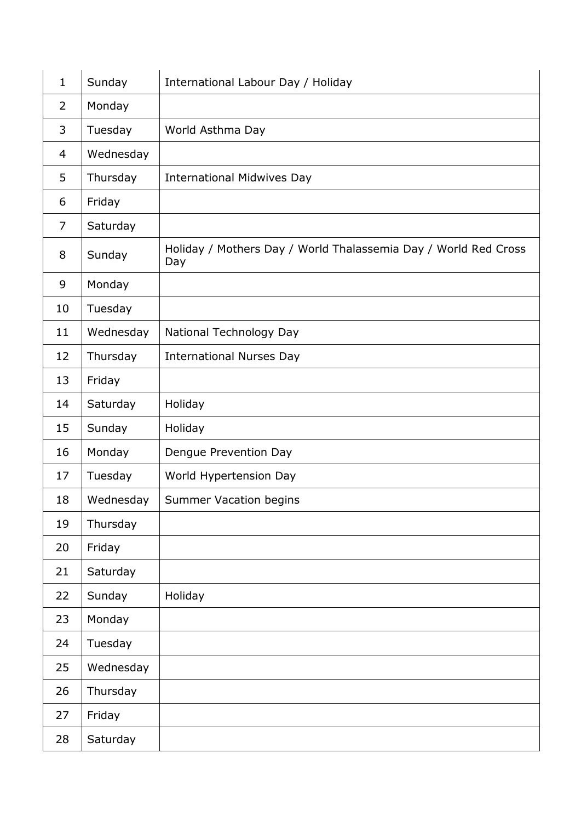| $\mathbf{1}$   | Sunday    | International Labour Day / Holiday                                     |
|----------------|-----------|------------------------------------------------------------------------|
| $\overline{2}$ | Monday    |                                                                        |
| 3              | Tuesday   | World Asthma Day                                                       |
| 4              | Wednesday |                                                                        |
| 5              | Thursday  | <b>International Midwives Day</b>                                      |
| 6              | Friday    |                                                                        |
| $\overline{7}$ | Saturday  |                                                                        |
| 8              | Sunday    | Holiday / Mothers Day / World Thalassemia Day / World Red Cross<br>Day |
| 9              | Monday    |                                                                        |
| 10             | Tuesday   |                                                                        |
| 11             | Wednesday | National Technology Day                                                |
| 12             | Thursday  | <b>International Nurses Day</b>                                        |
| 13             | Friday    |                                                                        |
| 14             | Saturday  | Holiday                                                                |
| 15             | Sunday    | Holiday                                                                |
| 16             | Monday    | Dengue Prevention Day                                                  |
| 17             | Tuesday   | World Hypertension Day                                                 |
| 18             | Wednesday | Summer Vacation begins                                                 |
| 19             | Thursday  |                                                                        |
| 20             | Friday    |                                                                        |
| 21             | Saturday  |                                                                        |
| 22             | Sunday    | Holiday                                                                |
| 23             | Monday    |                                                                        |
| 24             | Tuesday   |                                                                        |
| 25             | Wednesday |                                                                        |
| 26             | Thursday  |                                                                        |
| 27             | Friday    |                                                                        |
| 28             | Saturday  |                                                                        |